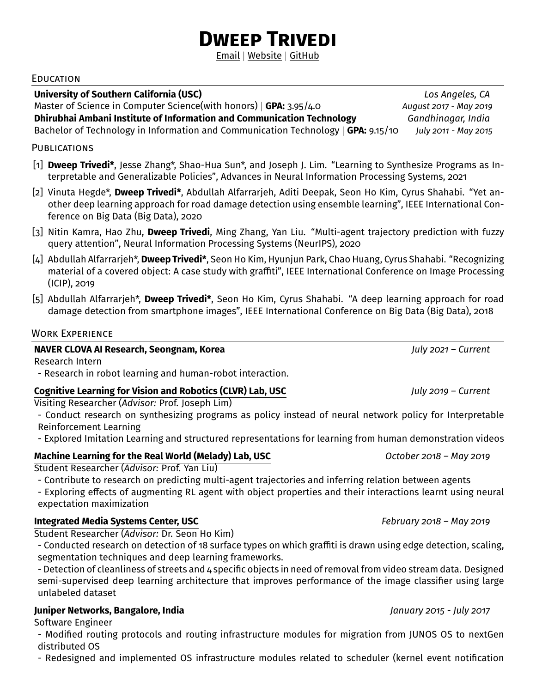# **Dweep Trivedi**

[Email](mailto:dtrivedi@usc.edu) | [Website](https://dweeptrivedi.github.io) | [GitHub](https://github.com/dweeptrivedi)

#### **EDUCATION**

**University of Southern California (USC)** *Los Angeles, CA*

Master of Science in Computer Science(with honors) | **GPA:** 3.95/4.0 *August 2017 - May 2019*

**Dhirubhai Ambani Institute of Information and Communication Technology** *Gandhinagar, India* 

Bachelor of Technology in Information and Communication Technology | **GPA:** 9.15/10 *July 2011 - May 2015*

#### **PUBLICATIONS**

- [1] **Dweep Trivedi\***, Jesse Zhang\*, Shao-Hua Sun\*, and Joseph J. Lim. ["Learning to Synthesize Programs as In](https://papers.nips.cc/paper/2021/file/d37124c4c79f357cb02c655671a432fa-Paper.pdf)[terpretable and Generalizable Policies",](https://papers.nips.cc/paper/2021/file/d37124c4c79f357cb02c655671a432fa-Paper.pdf) Advances in Neural Information Processing Systems, 2021
- [2] Vinuta Hegde\*, **Dweep Trivedi\***, Abdullah Alfarrarjeh, Aditi Deepak, Seon Ho Kim, Cyrus Shahabi. ["Yet an](https://infolab.usc.edu/DocsDemos/BigDataRDD2020.pdf)[other deep learning approach for road damage detection using ensemble learning",](https://infolab.usc.edu/DocsDemos/BigDataRDD2020.pdf) IEEE International Conference on Big Data (Big Data), 2020
- [3] Nitin Kamra, Hao Zhu, **Dweep Trivedi**, Ming Zhang, Yan Liu. ["Multi-agent trajectory prediction with fuzzy](https://arxiv.org/pdf/2010.15891.pdf) [query attention",](https://arxiv.org/pdf/2010.15891.pdf) Neural Information Processing Systems (NeurIPS), 2020
- [4] Abdullah Alfarrarjeh\*, **Dweep Trivedi\***, Seon Ho Kim, Hyunjun Park, Chao Huang, Cyrus Shahabi. ["Recognizing](http://mediaq.usc.edu:8080/TVDP/papers/IEEE_ICIP_graffiti.pdf) [material of a covered object: A case study with graffiti",](http://mediaq.usc.edu:8080/TVDP/papers/IEEE_ICIP_graffiti.pdf) IEEE International Conference on Image Processing (ICIP), 2019
- [5] Abdullah Alfarrarjeh\*, **Dweep Trivedi\***, Seon Ho Kim, Cyrus Shahabi. ["A deep learning approach for road](https://infolab.usc.edu/DocsDemos/IEEE_BigData_RoadDamageDetection.pdf) [damage detection from smartphone images",](https://infolab.usc.edu/DocsDemos/IEEE_BigData_RoadDamageDetection.pdf) IEEE International Conference on Big Data (Big Data), 2018

### Work Experience

### **[NAVER CLOVA AI Research, Seongnam, Korea](https://clova.ai/en/research/research-areas.html)** *July 2021 – Current*

Research Intern

- Research in robot learning and human-robot interaction.

# **[Cognitive Learning for Vision and Robotics \(CLVR\) Lab, USC](https://www.clvrai.com/)** *July 2019 – Current*

Visiting Researcher (*Advisor:* [Prof. Joseph Lim\)](https://viterbi-web.usc.edu/~limjj/)

- Conduct research on synthesizing programs as policy instead of neural network policy for Interpretable Reinforcement Learning

- Explored Imitation Learning and structured representations for learning from human demonstration videos

### **[Machine Learning for the Real World \(Melady\) Lab, USC](https://melady.usc.edu/)** *October 2018 – May 2019*

Student Researcher (*Advisor:* [Prof. Yan Liu\)](https://viterbi-web.usc.edu/~liu32/)

- Contribute to research on predicting multi-agent trajectories and inferring relation between agents

- Exploring effects of augmenting RL agent with object properties and their interactions learnt using neural expectation maximization

# **[Integrated Media Systems Center, USC](https://imsc.usc.edu/)** *February 2018 – May 2019*

Student Researcher (*Advisor:* [Dr. Seon Ho Kim\)](https://imsc.usc.edu/core-competencies/access/media-data-management/)

- Conducted research on detection of 18 surface types on which graffiti is drawn using edge detection, scaling, segmentation techniques and deep learning frameworks.

- Detection of cleanliness of streets and 4 specific objects in need of removal from video stream data. Designed semi-supervised deep learning architecture that improves performance of the image classifier using large unlabeled dataset

### **[Juniper Networks, Bangalore, India](https://www.juniper.net/us/en.html)** *January 2015 - July 2017*

Software Engineer

- Modified routing protocols and routing infrastructure modules for migration from JUNOS OS to nextGen distributed OS

- Redesigned and implemented OS infrastructure modules related to scheduler (kernel event notification